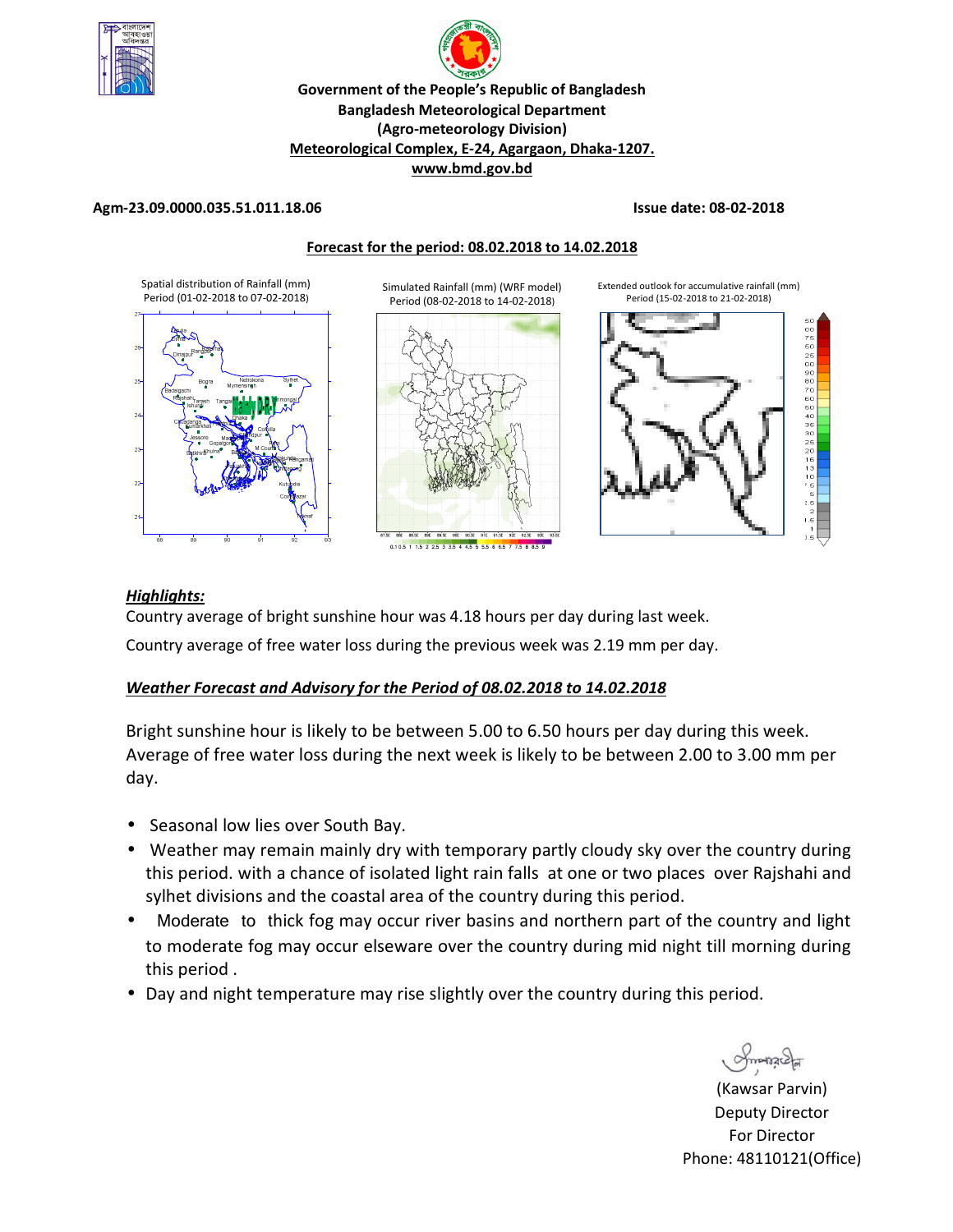

# p **Government of the People's Republic of Bangladesh Bangladesh Meteorological Department (Agro-meteorology Division) Meteorological Complex, E-24, Agargaon, Dhaka-1207. www.bmd.gov.bd**

## **Agm-23.09.0000.035.51.011.18.06 Issue date: 08-02-2018**



## *Highlights:*

Country average of bright sunshine hour was 4.18 hours per day during last week.

Country average of free water loss during the previous week was 2.19 mm per day.

## *Weather Forecast and Advisory for the Period of 08.02.2018 to 14.02.2018*

Bright sunshine hour is likely to be between 5.00 to 6.50 hours per day during this week. Average of free water loss during the next week is likely to be between 2.00 to 3.00 mm per day.

- Seasonal low lies over South Bay.
- Weather may remain mainly dry with temporary partly cloudy sky over the country during this period. with a chance of isolated light rain falls at one or two places over Rajshahi and sylhet divisions and the coastal area of the country during this period.
- Moderate to thick fog may occur river basins and northern part of the country and light to moderate fog may occur elseware over the country during mid night till morning during this period .
- Day and night temperature may rise slightly over the country during this period.

(Kawsar Parvin) Deputy Director For Director Phone: 48110121(Office)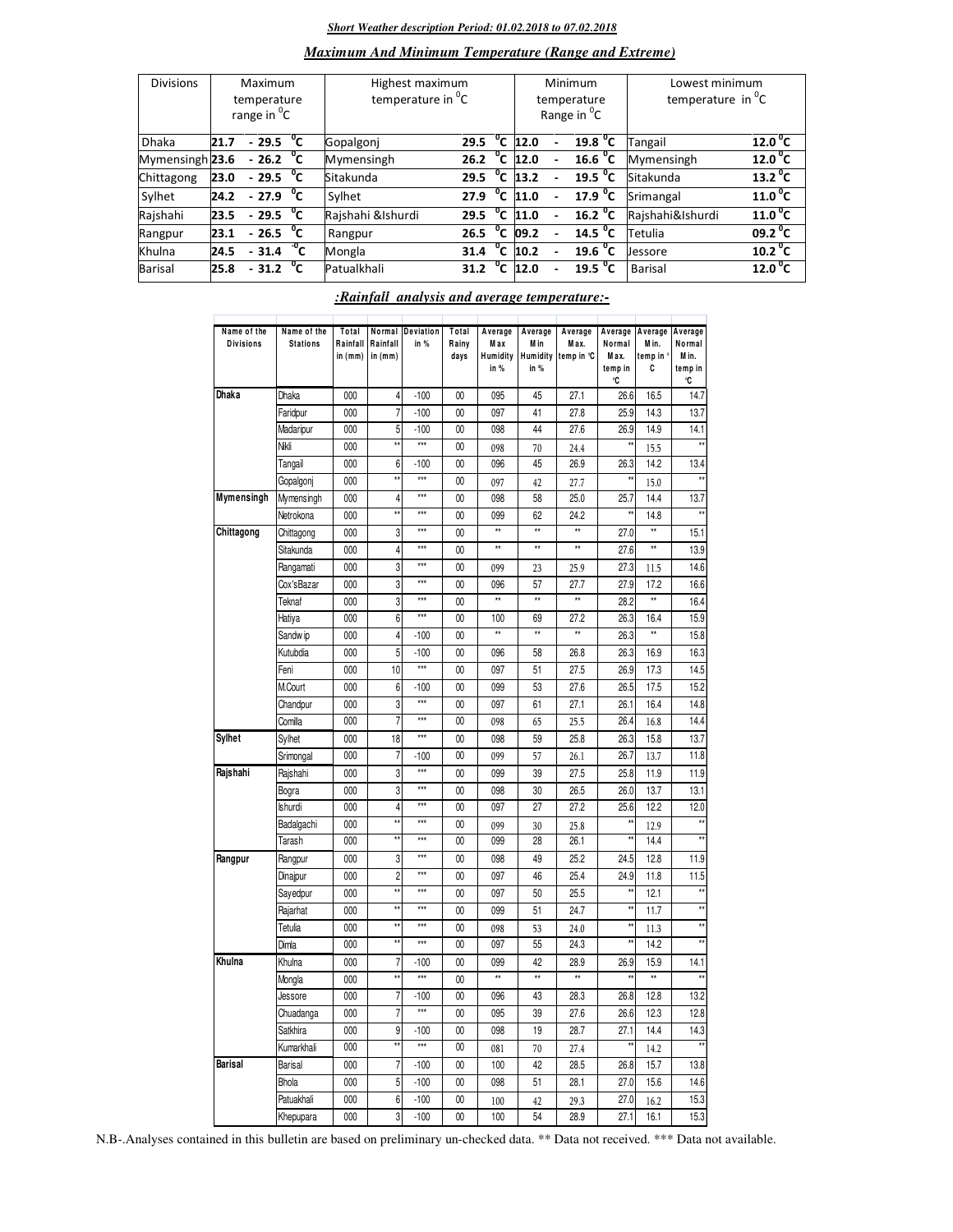### *Short Weather description Period: 01.02.2018 to 07.02.2018*

## *Maximum And Minimum Temperature (Range and Extreme)*

| <b>Divisions</b> | Maximum<br>temperature<br>range in <sup>o</sup> C |                        |              | Highest maximum<br>temperature in <sup>o</sup> C |      |                |                     | Minimum<br>temperature<br>Range in <sup>o</sup> C | Lowest minimum<br>temperature in $^{\circ}$ C |                           |
|------------------|---------------------------------------------------|------------------------|--------------|--------------------------------------------------|------|----------------|---------------------|---------------------------------------------------|-----------------------------------------------|---------------------------|
| <b>Dhaka</b>     | 21.7                                              | $-29.5$                | °c           | Gopalgonj                                        | 29.5 |                | $\overline{C}$ 12.0 | 19.8 <sup>0</sup> C                               | Tangail                                       | 12.0 <sup>0</sup> C       |
| Mymensingh 23.6  |                                                   | $-26.2\degree$ C       |              | Mymensingh                                       | 26.2 | $^{\circ}$ c   | 12.0                | 16.6 $^{\circ}$ C                                 | Mymensingh                                    | 12.0 <sup>o</sup> C       |
| Chittagong       | 23.0                                              | $-29.5\degree$ C       |              | Sitakunda                                        | 29.5 | $^0$ C         | 13.2                | $\overline{19.5}$ <sup>o</sup> C                  | Sitakunda                                     | $\overline{13.2}^{\,0}$ C |
| Sylhet           | 24.2                                              | $-27.9$                | $^{\circ}$ c | Sylhet                                           | 27.9 | $^{\circ}$ c   | 11.0                | 17.9 $^{\circ}$ C                                 | Srimangal                                     | 11.0 <sup>0</sup> C       |
| Rajshahi         | 23.5                                              | $-29.5\text{ °C}$      |              | Rajshahi &Ishurdi                                | 29.5 | °c             | 11.0                | $\overline{16.2}$ <sup>o</sup> C                  | Rajshahi&Ishurdi                              | $\overline{11.0}^0$ C     |
| Rangpur          | 23.1                                              | $-26.5\text{ °C}$      |              | Rangpur                                          | 26.5 | $^0$ C         | 09.2                | 14.5 $^{\circ}$ C                                 | Tetulia                                       | $09.2\degree$ C           |
| Khulna           | 24.5                                              | $-31.4C$               |              | Mongla                                           | 31.4 | °c             | 10.2                | 19.6 $^{\circ}$ C                                 | Jessore                                       | 10.2 <sup>0</sup> C       |
| Barisal          | 25.8                                              | $-31.2$ <sup>0</sup> C |              | Patualkhali                                      | 31.2 | $\overline{c}$ | 12.0                | $19.5 \text{ °C}$                                 | Barisal                                       | 12.0 <sup>o</sup> C       |

| Name of the<br><b>Divisions</b> | Name of the<br><b>Stations</b> | Total<br>Rainfall<br>in (mm) | Normal<br>Rainfall<br>in (mm) | Deviation<br>in % | Total<br>Rainv<br>days | Average<br>M ax<br>Humidity<br>in % | Average<br>M in<br>Humidity<br>in % | Average<br>Max.<br>temp in °C | Average<br>Normal<br>M ax.<br>temp in<br>°C | Average<br>M in.<br>emp in<br>C | Average<br>Normal<br>Min.<br>temp in<br>C |
|---------------------------------|--------------------------------|------------------------------|-------------------------------|-------------------|------------------------|-------------------------------------|-------------------------------------|-------------------------------|---------------------------------------------|---------------------------------|-------------------------------------------|
| Dhaka                           | Dhaka                          | 000                          | 4                             | $-100$            | 00                     | 095                                 | 45                                  | 27.1                          | 26.6                                        | 16.5                            | 14.7                                      |
|                                 | Faridpur                       | 000                          | 7                             | $-100$            | 00                     | 097                                 | 41                                  | 27.8                          | 25.9                                        | 14.3                            | 13.7                                      |
|                                 | Madaripur                      | 000                          | 5                             | $-100$            | 00                     | 098                                 | 44                                  | 27.6                          | 26.9                                        | 14.9                            | 14.1                                      |
|                                 | Nikli                          | 000                          | ÷,                            | $\overline{***}$  | 00                     | 098                                 | 70                                  | 24.4                          | ÷.                                          | 15.5                            |                                           |
|                                 | Tangail                        | 000                          | 6                             | $-100$            | 00                     | 096                                 | 45                                  | 26.9                          | 26.3                                        | 14.2                            | 13.4                                      |
|                                 | Gopalgonj                      | 000                          | ÷,                            | $\overline{***}$  | 00                     | 097                                 | 42                                  | 27.7                          |                                             | 15.0                            |                                           |
| Mymensingh                      | Mymensingh                     | 000                          | 4                             | ***               | 00                     | 098                                 | 58                                  | 25.0                          | 25.7                                        | 14.4                            | 13.7                                      |
|                                 | Netrokona                      | 000                          | ÷,                            | ***               | 00                     | 099                                 | 62                                  | 24.2                          |                                             | 14.8                            |                                           |
| Chittagong                      | Chittagong                     | 000                          | 3                             | ***               | 00                     | xx                                  | $\star\star$                        | $\star\star$                  | 27.0                                        |                                 | 15.1                                      |
|                                 | Sitakunda                      | 000                          | 4                             | $***$             | 00                     | xx                                  | $\star\star$                        | $\star\star$                  | 27.6                                        | $\star\star$                    | 13.9                                      |
|                                 | Rangamati                      | 000                          | 3                             | ***               | 00                     | 099                                 | 23                                  | 25.9                          | 27.3                                        | 11.5                            | 14.6                                      |
|                                 | Cox'sBazar                     | 000                          | 3                             | ***               | 00                     | 096                                 | 57                                  | 27.7                          | 27.9                                        | 17.2                            | 16.6                                      |
|                                 | Teknaf                         | 000                          | 3                             | ***               | 00                     | żż                                  | $\star\star$                        | **                            | 28.2                                        | $\star\star$                    | 16.4                                      |
|                                 | Hatiya                         | 000                          | 6                             | ***               | 00                     | 100                                 | 69                                  | 27.2                          | 26.3                                        | 16.4                            | 15.9                                      |
|                                 | Sandw ip                       | 000                          | 4                             | $-100$            | 00                     | xx                                  | **                                  | **                            | 26.3                                        | $\star\star$                    | 15.8                                      |
|                                 | Kutubdia                       | 000                          | 5                             | $-100$            | 00                     | 096                                 | 58                                  | 26.8                          | 26.3                                        | 16.9                            | 16.3                                      |
|                                 | Feni                           | 000                          | 10                            | $\overline{}$     | 00                     | 097                                 | 51                                  | 27.5                          | 26.9                                        | 17.3                            | 14.5                                      |
|                                 | M.Court                        | 000                          | 6                             | $-100$            | 00                     | 099                                 | 53                                  | 27.6                          | 26.5                                        | 17.5                            | 15.2                                      |
|                                 | Chandpur                       | 000                          | 3                             | ***               | 00                     | 097                                 | 61                                  | 27.1                          | 26.1                                        | 16.4                            | 14.8                                      |
|                                 | Comilla                        | $\overline{000}$             | 7                             | $\overline{}$     | $\overline{00}$        | 098                                 | 65                                  | 25.5                          | 26.4                                        | 16.8                            | 14.4                                      |
| <b>Sylhet</b>                   | Sylhet                         | 000                          | 18                            | $\star\star\star$ | 00                     | 098                                 | 59                                  | 25.8                          | 26.3                                        | 15.8                            | 13.7                                      |
|                                 | Srimongal                      | $\overline{000}$             | 7                             | $-100$            | $\overline{00}$        | 099                                 | 57                                  | 26.1                          | 26.7                                        | 13.7                            | 11.8                                      |
| Rajshahi                        | Rajshahi                       | 000                          | 3                             | ***               | 00                     | 099                                 | 39                                  | 27.5                          | 25.8                                        | 11.9                            | 11.9                                      |
|                                 | Bogra                          | 000                          | 3                             | $\overline{***}$  | 00                     | 098                                 | 30                                  | 26.5                          | 26.0                                        | 13.7                            | 13.1                                      |
|                                 | Ishurdi                        | 000                          | 4                             | ***               | 00                     | 097                                 | 27                                  | 27.2                          | 25.6                                        | 12.2                            | 12.0                                      |
|                                 | Badalgachi                     | 000                          | ÷.                            | $***$             | 00                     | 099                                 | 30                                  | 25.8                          | ź,                                          | 12.9                            |                                           |
|                                 | Tarash                         | 000                          |                               | $***$             | 00                     | 099                                 | 28                                  | 26.1                          |                                             | 14.4                            |                                           |
| Rangpur                         | Rangpur                        | 000                          | 3                             | ***               | 00                     | 098                                 | 49                                  | 25.2                          | 24.5                                        | 12.8                            | 11.9                                      |
|                                 | Dinajpur                       | 000                          | $\overline{c}$                | $***$             | 00                     | 097                                 | 46                                  | 25.4                          | 24.9                                        | 11.8                            | 11.5                                      |
|                                 | Sayedpur                       | 000                          | ٠ŧ                            | ***               | 00                     | 097                                 | 50                                  | 25.5                          |                                             | 12.1                            |                                           |
|                                 | Rajarhat                       | 000                          | ÷,                            | ***               | 00                     | 099                                 | 51                                  | 24.7                          | xx                                          | 11.7                            | $\star$                                   |
|                                 | Tetulia                        | 000                          | ÷,                            | $\ddot{x}$        | 00                     | 098                                 | 53                                  | 24.0                          | $\ddot{x}$                                  | 11.3                            | $\star$                                   |
|                                 | Dimla                          | 000                          | $\pm\pm$                      | $***$             | 00                     | 097                                 | 55                                  | 24.3                          | $\pm\frac{1}{2}$                            | 14.2                            | $\star$                                   |
| Khulna                          | Khulna                         | 000                          | 7                             | $-100$            | 00                     | 099                                 | 42                                  | 28.9                          | 26.9                                        | 15.9                            | 14.1                                      |
|                                 | Mongla                         | 000                          | $\star\star$                  | ***               | 00                     | ¥                                   | $\overline{1}$                      | $\frac{1}{2}$                 |                                             | $\overline{1}$                  |                                           |
|                                 | Jessore                        | 000                          | 7                             | $-100$            | 00                     | 096                                 | 43                                  | 28.3                          | 26.8                                        | 12.8                            | 13.2                                      |
|                                 | Chuadanga                      | 000                          | 7                             | ***               | 00                     | 095                                 | 39                                  | 27.6                          | 26.6                                        | 12.3                            | 12.8                                      |
|                                 | Satkhira                       | 000                          | 9                             | $-100$            | 00                     | 098                                 | 19                                  | 28.7                          | 27.1                                        | 14.4                            | 14.3                                      |
|                                 | Kumarkhali                     | 000                          |                               | $\overline{***}$  | 00                     | 081                                 | 70                                  | 27.4                          |                                             | 14.2                            |                                           |
| <b>Barisal</b>                  | Barisal                        | 000                          | $\overline{7}$                | $-100$            | 00                     | 100                                 | 42                                  | 28.5                          | 26.8                                        | 15.7                            | 13.8                                      |
|                                 | Bhola                          | 000                          | 5                             | $-100$            | 00                     | 098                                 | 51                                  | 28.1                          | 27.0                                        | 15.6                            | 14.6                                      |
|                                 | Patuakhali                     | 000                          | 6                             | $-100$            | 00                     | 100                                 | 42                                  | 29.3                          | 27.0                                        | 16.2                            | 15.3                                      |
|                                 | Khepupara                      | 000                          | 3                             | $-100$            | 00                     | 100                                 | 54                                  | 28.9                          | 27.1                                        | 16.1                            | 15.3                                      |

## *:Rainfall analysis and average temperature:-*

N.B-.Analyses contained in this bulletin are based on preliminary un-checked data. \*\* Data not received. \*\*\* Data not available.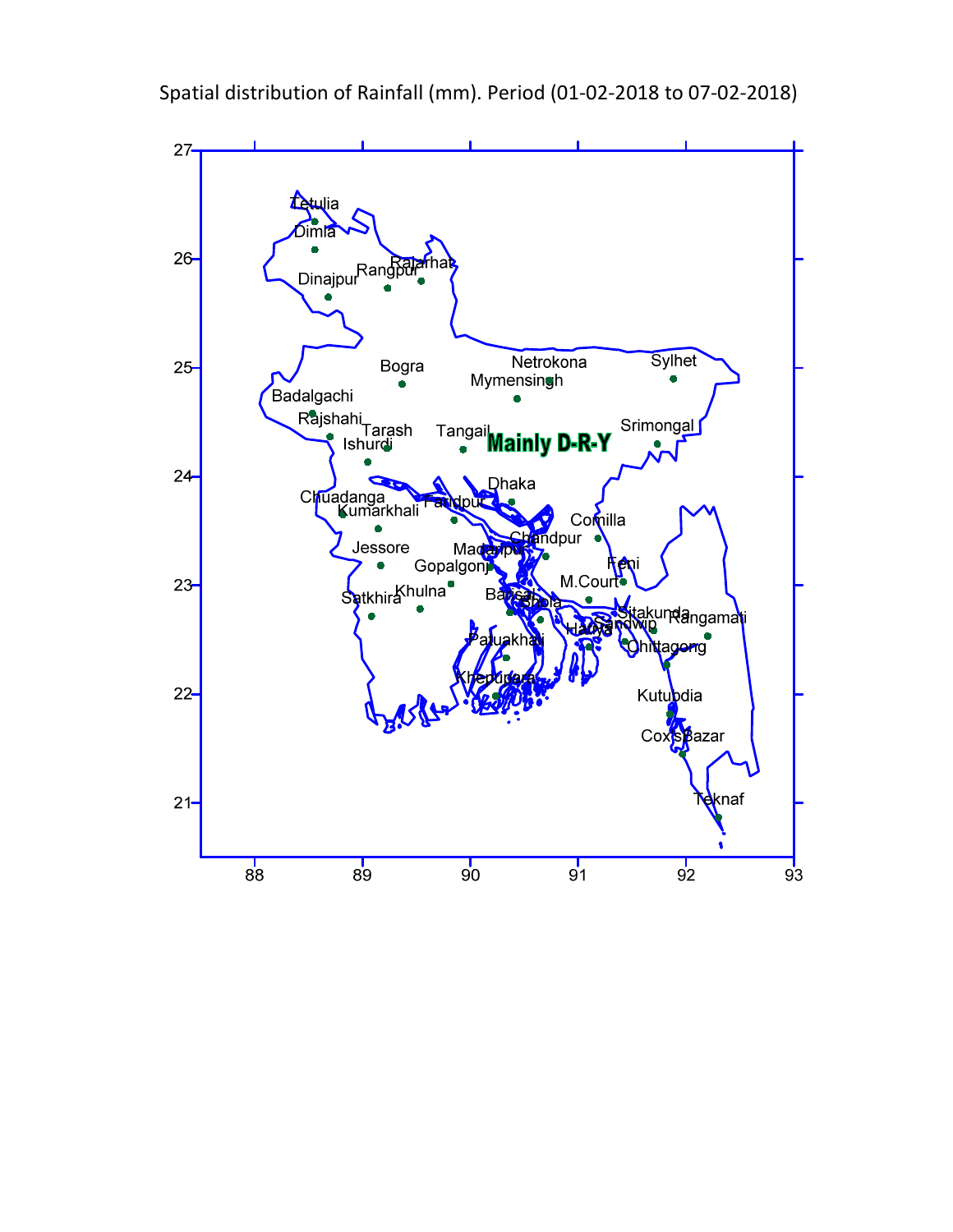

Spatial distribution of Rainfall (mm). Period (01-02-2018 to 07-02-2018)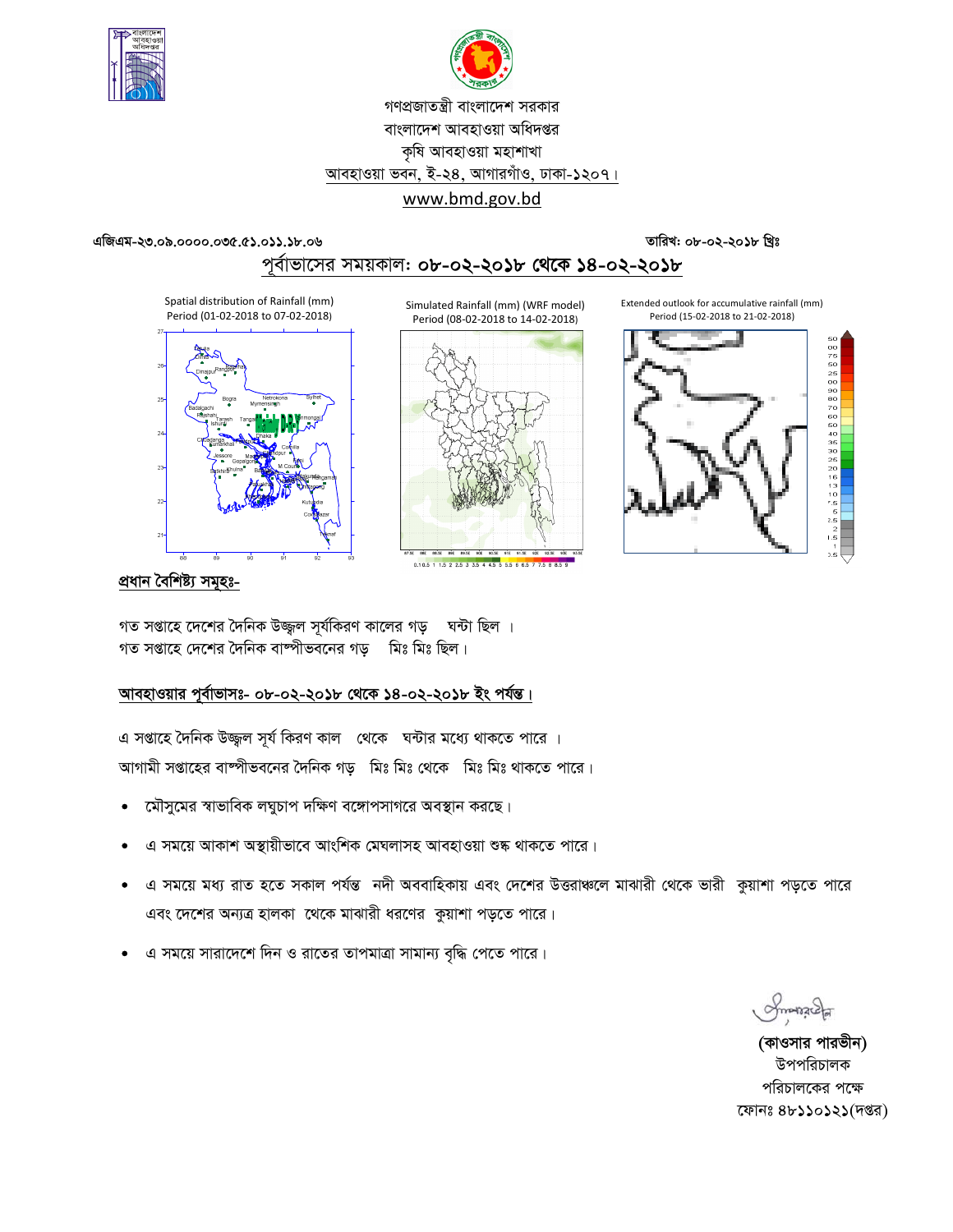



# গণপ্রজাতন্ত্রী বাংলাদেশ সরকার বাংলাদেশ আবহাওয়া অধিদপ্তর কৃষি আবহাওয়া মহাশাখা আবহাওয়া ভবন, ই-২৪, আগারগাঁও, ঢাকা-১২০৭। www.bmd.gov.bd

#### এজিএম-২৩.০৯.০০০০.০৩৫.৫১.০১১.১৮.০৬

## তারিখ: ০৮-০২-২০১৮ খ্রিঃ

# পূর্বাভাসের সময়কাল: ০৮-০২-২০১৮ থেকে ১৪-০২-২০১৮

Spatial distribution of Rainfall (mm) Period (01-02-2018 to 07-02-2018)



Simulated Rainfall (mm) (WRF model) Period (08-02-2018 to 14-02-2018)



0.105 1 15 2 25 3 35 4 45 5 5 5 6 6 5 7 7 5 8 8

Extended outlook for accumulative rainfall (mm) Period (15-02-2018 to 21-02-2018)



## প্ৰধান বৈশিষ্ট্য সমূহঃ-

গত সপ্তাহে দেশের দৈনিক উজ্জুল সূর্যকিরণ কালের গড় ঘন্টা ছিল । গত সপ্তাহে দেশের দৈনিক বাষ্পীভবনের গড মিঃ মিঃ ছিল।

## আবহাওয়ার পূর্বাভাসঃ- ০৮-০২-২০১৮ থেকে ১৪-০২-২০১৮ ইং পর্যন্ত।

এ সপ্তাহে দৈনিক উজ্জল সূর্য কিরণ কাল থেকে ঘন্টার মধ্যে থাকতে পারে । আগামী সপ্তাহের বাষ্পীভবনের দৈনিক গড় মিঃ মিঃ থেকে মিঃ মিঃ থাকতে পারে।

- মৌসুমের স্বাভাবিক লঘুচাপ দক্ষিণ বঙ্গোপসাগরে অবস্থান করছে।  $\bullet$
- এ সময়ে আকাশ অস্থায়ীভাবে আংশিক মেঘলাসহ আবহাওয়া শুষ্ক থাকতে পারে।
- এ সময়ে মধ্য রাত হতে সকাল পর্যন্ত নদী অববাহিকায় এবং দেশের উত্তরাঞ্চলে মাঝারী থেকে ভারী কুয়াশা পড়তে পারে এবং দেশের অন্যত্র হালকা থেকে মাঝারী ধরণের কুয়াশা পড়তে পারে।
- এ সময়ে সারাদেশে দিন ও রাতের তাপমাত্রা সামান্য বৃদ্ধি পেতে পারে।

Smange

(কাওসার পারভীন) উপপবিচালক পরিচালকের পক্ষে ফোনঃ ৪৮১১০১২১(দপ্তর)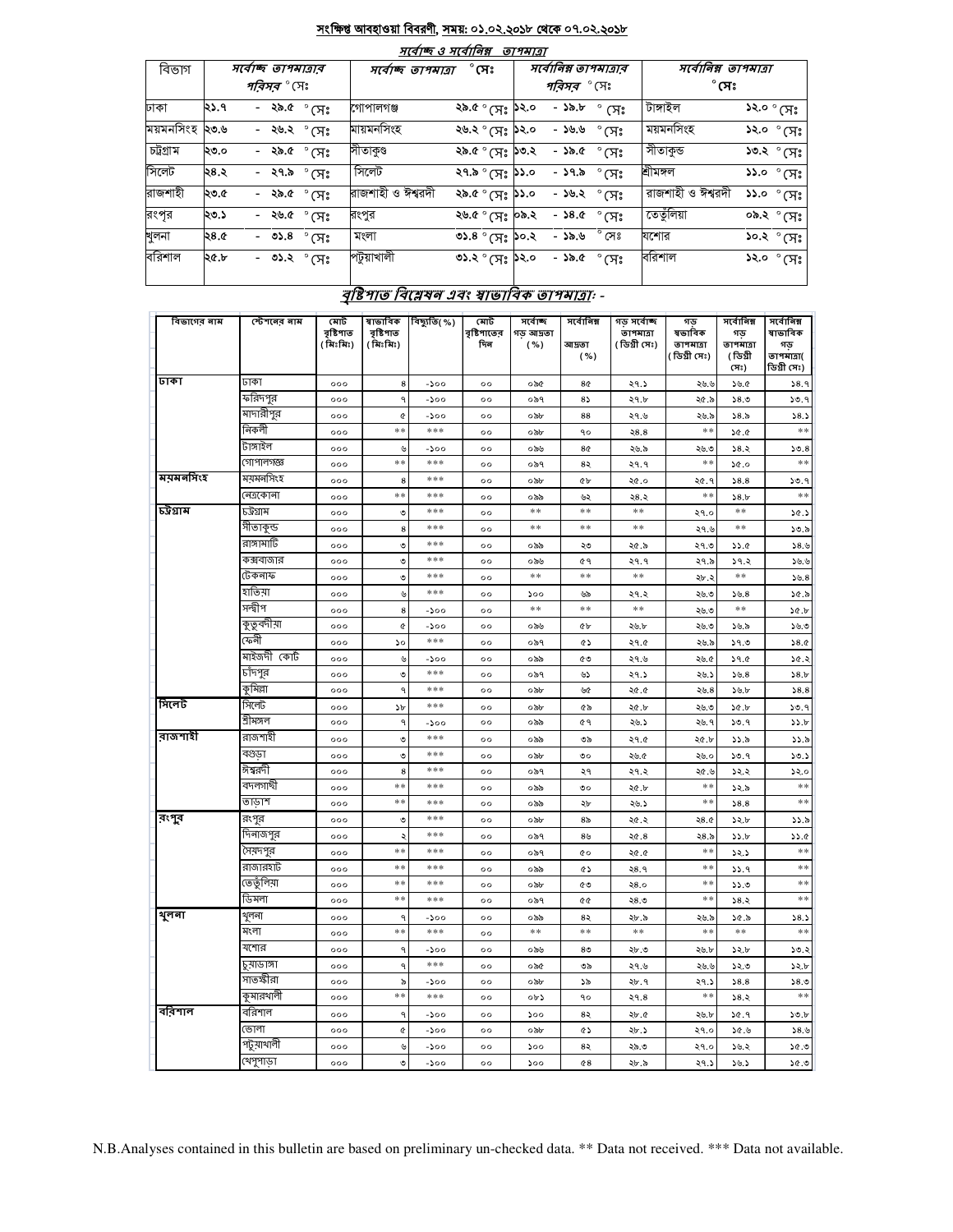#### <u>সংক্ষিপ্ত আবহাওয়া বিবরণী, সময়: ০১.০২.২০১৮ থেকে ০৭.০২.২০১৮</u>  $\frac{1}{2}$  and  $\frac{1}{2}$

|           | $7(9)$ Q $7(9)$<br>ופומרוש |  |  |                       |                   |                                      |                    |                     |                       |                                      |                                               |  |  |
|-----------|----------------------------|--|--|-----------------------|-------------------|--------------------------------------|--------------------|---------------------|-----------------------|--------------------------------------|-----------------------------------------------|--|--|
| বিভাগ     | সৰ্বোচ্ছ তাপমাত্ৰাব        |  |  |                       |                   | $^{\circ}$ সেঃ<br>সৰ্বোচ্ছ তাপমাত্ৰা |                    |                     | সর্বোনিম্ন তাপমাত্রার | সর্বোনিম্ন তাপমাত্রা<br>$^\circ$ সেঃ |                                               |  |  |
|           | <i>পরিসর °</i> (সঃ         |  |  |                       |                   |                                      | <i>পরিসর °</i> (সঃ |                     |                       |                                      |                                               |  |  |
| ঢাকা      | ২১.৭                       |  |  | - २৯.৫ $^{\circ}$ (সঃ | গোপালগঞ্জ         | ২৯.৫ ° সেঃ <b>১</b> ২.০              |                    | - ১৯.৮              | $^{\circ}$ (সঃ        | টাঙ্গাইল                             | ১২.০ ° সেঃ                                    |  |  |
| ময়মনসিংহ | ২৩.৬                       |  |  | - ২৬.২ ° সেঃ          | মায়মনসিংহ        | ২৬.২ ° সেঃ <b>১</b> ২.০              |                    | - ১৬.৬              | $\degree$ (সះ         | ময়মনসিংহ                            | ১২.০ ° সেঃ                                    |  |  |
| চট্টগ্ৰাম | ২৩.০                       |  |  | - ২৯.৫ $^{\circ}$ সেঃ | সীতাকুণ্ড         | ২৯.৫ ° (সঃ <b>১৩.</b> ২              |                    | - ১৯.৫              | ੰ $\mathcal{F}$ ੇ     | সীতাকুভ                              | ১৩.২ ° (সঃ                                    |  |  |
| সিলেট     | ২৪.২                       |  |  | - ২৭.৯ $^{\circ}$ (সঃ | সিলেট             | ২৭.৯ ° সেঃ <b>১১</b> .০              |                    | - ১৭.৯              | $^\circ$ সেঃ          | শ্ৰীমঙ্গল                            | $55.0^\circ$ (সঃ                              |  |  |
| রাজশাহী   | ২৩.৫                       |  |  | - ২৯.৫ $^{\circ}$ সেঃ | রাজশাহী ও ঈশ্বরদী | ১১.৫ $^{\circ}$ (স $_{\rm s}$ ১১.০   |                    | - <i>১৬.২</i> ° সেঃ |                       | রাজশাহী ও ঈশ্বরদী                    | $55.0^{\circ}$ (সঃ                            |  |  |
| রংপূর     | ২৩.১                       |  |  | - २७. <i>৫</i> ° (সঃ  | রংপুর             | ২৬.৫ ° মেঃ  ০৯.২                     |                    | - ১৪.৫              | $^\circ$ (সঃ          | তেতুঁলিয়া                           | ०৯.২ ° (प्रः '                                |  |  |
| খুলনা     | ২৪.৫                       |  |  | - ৩১.৪ $^{\circ}$ সিঃ | মংলা              | $0.8^{\circ}$ (H <sub>2</sub> )0.2   |                    | - ১৯.৬              | $^{\circ}$ সেঃ        | যশোর                                 | $\mathcal{S}^{0,2}$ $^{\circ}$ (সঃ $^{\circ}$ |  |  |
| বরিশাল    | ২৫.৮                       |  |  | - ৩১.২ $^{\circ}$ সেঃ | পটুয়াখালী        | <b>৩১.২</b> ° সেঃ ১২.০               |                    | - ১৯.৫              | $^{\circ}$ সেঃ        | বরিশাল                               | $55.0^\circ$ (সঃ                              |  |  |
|           |                            |  |  |                       |                   |                                      |                    |                     |                       |                                      |                                               |  |  |

# বৃষ্টিশাত বিশ্লেষন এবং স্বাভাবিক তাশমাত্রা: -

| বিভাগের নাম | স্টেশনের নাম | মোট<br>বৃষ্টিপাত<br>( মিঃমিঃ) | ষাভাবিক<br>বৃষ্টিপাত<br>( মিঃমিঃ) | বিছ্যুতি(%) | মোট<br>বৃষ্টিশাতের<br>দিন | সৰ্বোচ্ছ<br>গড আদ্রতা<br>( %) | সৰ্বোনিম্ন<br>আদ্ৰতা<br>( %) | গড সৰ্বোচ্ছ<br>তাপমাত্রা<br>( ডিগ্ৰী সেঃ) | গড<br>ষভাবিক<br>তাপমাত্রা<br>(ডিগ্ৰী সেঃ) | সৰ্বোনিম্ন<br>গড<br>তাপমাত্রা<br>(ডিগ্ৰী<br>(সঃ) | সৰ্বোনিম্ন<br>ষাভাবিক<br>গড<br>তাপমাত্রা(<br>ডিগ্ৰী সেঃ) |
|-------------|--------------|-------------------------------|-----------------------------------|-------------|---------------------------|-------------------------------|------------------------------|-------------------------------------------|-------------------------------------------|--------------------------------------------------|----------------------------------------------------------|
| जका         | ঢাকা         | 000                           | 8                                 | $-500$      | $^{oo}$                   | ০৯৫                           | 8¢                           | ২৭.১                                      | ২৬.৬                                      | ১৬.৫                                             | 38.9                                                     |
|             | ফরিদপুর      | 000                           | ٩                                 | $-200$      | $^{\circ}$                | ০৯৭                           | 85                           | ২৭.৮                                      | ২৫.৯                                      | 58.0                                             | 30.9                                                     |
|             | মাদারীপুর    | 000                           | Q                                 | -200        | $^{\circ}$                | ০৯৮                           | 88                           | ২৭.৬                                      | ২৬.৯                                      | 58.5                                             | 58.5                                                     |
|             | নিকলী        | 000                           | $***$                             | ***         | $^{\circ}$                | ০৯৮                           | 90                           | 28.8                                      | $* *$                                     | 36.0                                             | $\ast\ast$                                               |
|             | টাঙ্গাইল     | 000                           | ৬                                 | -200        | $^{\circ}$                | ০৯৬                           | 8¢                           | ২৬.৯                                      | ২৬.৩                                      | 38.3                                             | 50.8                                                     |
|             | গোপালগজ্ঞ    | 000                           | **                                | ***         | $^{oo}$                   | ০৯৭                           | 82                           | २१.१                                      | $**$                                      | 30.0                                             | $**$                                                     |
| ময়মনসিংহ   | ময়মনসিংহ    | 000                           | 8                                 | ***         | $^{oo}$                   | ০৯৮                           | ¢Ъ                           | ২৫.০                                      | ২৫.৭                                      | 38.8                                             | 50.9                                                     |
|             | নেত্ৰকোনা    | 000                           | $**$                              | ***         | $^{\circ}$                | ০৯৯                           | ৬২                           | ২৪.২                                      | $**$                                      | 58.5                                             | $**$                                                     |
| চট্টগ্রাম   | ঢট্রগ্রাম    | 000                           | ৩                                 | ***         | $^{oo}$                   | $**$                          | $**$                         | $**$                                      | ২৭.০                                      | $**$                                             | 30.5                                                     |
|             | সীতাকুন্ড    | 000                           | 8                                 | ***         | $^{\circ}$                | **                            | $**$                         | $**$                                      | ২৭.৬                                      | $**$                                             | ১৩.৯                                                     |
|             | রাঙ্গামার্টি | 000                           | $\circ$                           | ***         | $^{oo}$                   | ০৯৯                           | ২৩                           | ২৫.৯                                      | ২৭.৩                                      | 33.6                                             | 38.6                                                     |
|             | কক্সবাজার    | 000                           | ৩                                 | ***         | $^{oo}$                   | ০৯৬                           | ¢۹                           | २१.१                                      | ২৭.৯                                      | ১৭.২                                             | 9.9                                                      |
|             | টেকনাফ       | 000                           | $\mathcal O$                      | ***         | $^{\circ}$                | **                            | $**$                         | $**$                                      | ২৮.২                                      | $**$                                             | 56.8                                                     |
|             | হাতিয়া      | 000                           | ৬                                 | ***         | $^{oo}$                   | 500                           | ৬৯                           | ২৭.২                                      | ২৬.৩                                      | 3.5.8                                            | 30.5                                                     |
|             | সন্দ্বীপ     | 000                           | 8                                 | -200        | $^{\circ}$                | **                            | $**$                         | $**$                                      | ২৬.৩                                      | **                                               | 30.5                                                     |
|             | কুতুবদীয়া   | 000                           | Q                                 | $-200$      | $^{\circ}$                | ০৯৬                           | ¢Ъ                           | ২৬.৮                                      | ২৬.৩                                      | ১৬.৯                                             | ১৬.৩                                                     |
|             | ফেনী         | 000                           | ১০                                | ***         | $^{\circ}$                | ০৯৭                           | GS                           | ২৭.৫                                      | ২৬.৯                                      | 39.0                                             | 38.0                                                     |
|             | মাইজদী কোর্ট | 000                           | ৬                                 | -200        | $^{\circ}$                | ০৯৯                           | ৫৩                           | ২৭.৬                                      | ২৬.৫                                      | 39.0                                             | 30.5                                                     |
|             | চাঁদপুর      | 000                           | ৩                                 | ***         | $^{oo}$                   | ০৯৭                           | ৬১                           | ২৭.১                                      | ২৬.১                                      | 3.5.8                                            | 58.5                                                     |
|             | কৃমিল্লা     | 000                           | ٩                                 | ***         | $^{oo}$                   | ০৯৮                           | ৬৫                           | 20.0                                      | ২৬.8                                      | ১৬.৮                                             | 58.8                                                     |
| সিলেট       | সিলেট        | 000                           | $\mathcal{P}$                     | ***         | $^{oo}$                   | ০৯৮                           | ৫৯                           | ২৫.৮                                      | ২৬.৩                                      | 30.5                                             | 30.9                                                     |
|             | শ্ৰীমঙ্গল    | 000                           | ٩                                 | $-200$      | $^{\circ}$                | ০৯৯                           | œ۹                           | ২৬.১                                      | ২৬. ৭                                     | 30.9                                             | 55.b                                                     |
| রাজশাহী     | রাজশাহী      | 000                           | $\mathcal O$                      | ***         | $^{\circ}$                | ০৯৯                           | ৩৯                           | ২৭.৫                                      | ২৫.৮                                      | ১১.৯                                             | 33.5                                                     |
|             | বগুডা        | 000                           | $\mathcal O$                      | ***         | $^{\circ}$                | ০৯৮                           | ৩০                           | ২৬.৫                                      | ২৬.০                                      | 30.9                                             | 50.5                                                     |
|             | ঈশ্বরদী      | 000                           | 8                                 | ***         | $^{oo}$                   | ০৯৭                           | ২৭                           | ২৭.২                                      | ২৫.৬                                      | ১২.২                                             | 52.0                                                     |
|             | বদলগাছী      | 000                           | $**$                              | ***         | $\circ$                   | ০৯৯                           | ৩০                           | ২৫.৮                                      | $**$                                      | ১২.৯                                             | $**$                                                     |
|             | তাডাশ        | 000                           | $**$                              | ***         | $^{\circ}$                | ০৯৯                           | ২৮                           | ২৬.১                                      | $**$                                      | 58.8                                             | $**$                                                     |
| রংগুর       | রংপুর        | 000                           | $\mathcal O$                      | ***         | $^{oo}$                   | ০৯৮                           | 8 <sub>o</sub>               | ২৫.২                                      | 28.0                                      | ১২.৮                                             | ১১.৯                                                     |
|             | দিনাজপুর     | 000                           | ২                                 | ***         | $^{\circ}$                | ০৯৭                           | 8 <sub>b</sub>               | 26.8                                      | 28.5                                      | 55.b                                             | 33.0                                                     |
|             | সৈয়দপুর     | 000                           | $**$                              | ***         | $^{oo}$                   | ০৯৭                           | <b>CO</b>                    | ২৫.৫                                      | $**$                                      | 32.5                                             | $**$                                                     |
|             | রাজারহাট     | 000                           | $**$                              | ***         | $^{oo}$                   | ০৯৯                           | ৫১                           | ২8.৭                                      | $**$                                      | 9. دد                                            | $**$                                                     |
|             | তেতুঁলিয়া   | 000                           | $**$                              | ***         | $^{\circ}$                | ০৯৮                           | ৫৩                           | 28.0                                      | $**$                                      | 33.0                                             | $**$                                                     |
|             | ডিমলা        | 000                           | $**$                              | ***         | $^{\circ}$                | ০৯৭                           | ¢¢                           | ২৪.৩                                      | $**$                                      | 38.3                                             | $**$                                                     |
| থুলনা       | থুলনা        | 000                           | ٩                                 | -200        | $^{\circ}$                | ০৯৯                           | 8২                           | ২৮.৯                                      | ২৬.৯                                      | ১৫.৯                                             | 58.5                                                     |
|             | মংলা         | 000                           | **                                | ***         | $^{\circ}$                | $**$                          | $**$                         | $**$                                      | **                                        | $**$                                             | $**$                                                     |
|             | যশোর         | 000                           | ٩                                 | -200        | $^{oo}$                   | ০৯৬                           | 8 <sub>0</sub>               | ২৮.৩                                      | ২৬.৮                                      | ১২.৮                                             | 50.3                                                     |
|             | চুয়াডাঙ্গা  | 000                           | ٩                                 | ***         | $^{\circ}$                | ০৯৫                           | ৩৯                           | ২৭.৬                                      | ২৬.৬                                      | ১২.৩                                             | 52.5                                                     |
|             | সাতস্কীরা    | 000                           | ৯                                 | $-500$      | $^{oo}$                   | ০৯৮                           | ১৯                           | ২৮.৭                                      | ২৭.১                                      | 58.8                                             | 58.0                                                     |
|             | কুমারথালী    | 000                           | $\ast\ast$                        | ***         | $^{oo}$                   | ০৮১                           | ٩o                           | २१.8                                      | $**$                                      | 38.3                                             | $**$                                                     |
| ববিশাল      | বরিশাল       | 000                           | ٩                                 | $-500$      | $^{\circ}$                | 500                           | 85                           | ২৮.৫                                      | ২৬.৮                                      | 30.9                                             | 50.5                                                     |
|             | ভোলা         | 000                           | Q                                 | -200        | $\Omega$                  | ০৯৮                           | GS                           | ২৮.১                                      | ২৭.০                                      | ১৫.৬                                             | 38.5                                                     |
|             | পটুয়াথালী   | 000                           | ৬                                 | $-200$      | $^{\circ}$                | ১০০                           | 8২                           | ২৯.৩                                      | ২৭.০                                      | ১৬.২                                             | ৩.১৫                                                     |
|             | খেপুপাড়া    | 000                           | $\circ$                           | $-500$      | $\circ$                   | 500                           | 68                           | ২৮.৯                                      | 29.5                                      | 38.5                                             | 0.96                                                     |

N.B.Analyses contained in this bulletin are based on preliminary un-checked data. \*\* Data not received. \*\*\* Data not available.